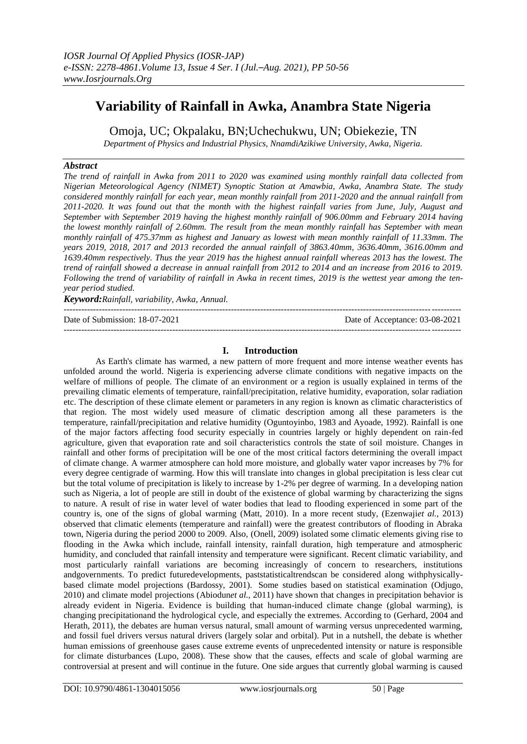# **Variability of Rainfall in Awka, Anambra State Nigeria**

Omoja, UC; Okpalaku, BN;Uchechukwu, UN; Obiekezie, TN *Department of Physics and Industrial Physics, NnamdiAzikiwe University, Awka, Nigeria.*

#### *Abstract*

*The trend of rainfall in Awka from 2011 to 2020 was examined using monthly rainfall data collected from Nigerian Meteorological Agency (NIMET) Synoptic Station at Amawbia, Awka, Anambra State. The study considered monthly rainfall for each year, mean monthly rainfall from 2011-2020 and the annual rainfall from 2011-2020. It was found out that the month with the highest rainfall varies from June, July, August and September with September 2019 having the highest monthly rainfall of 906.00mm and February 2014 having the lowest monthly rainfall of 2.60mm. The result from the mean monthly rainfall has September with mean monthly rainfall of 475.37mm as highest and January as lowest with mean monthly rainfall of 11.33mm. The years 2019, 2018, 2017 and 2013 recorded the annual rainfall of 3863.40mm, 3636.40mm, 3616.00mm and 1639.40mm respectively. Thus the year 2019 has the highest annual rainfall whereas 2013 has the lowest. The trend of rainfall showed a decrease in annual rainfall from 2012 to 2014 and an increase from 2016 to 2019. Following the trend of variability of rainfall in Awka in recent times, 2019 is the wettest year among the tenyear period studied.*

*Keyword:Rainfall, variability, Awka, Annual.*

---------------------------------------------------------------------------------------------------------------------------------------

Date of Submission: 18-07-2021 Date of Acceptance: 03-08-2021 ---------------------------------------------------------------------------------------------------------------------------------------

## **I. Introduction**

As Earth's climate has warmed, a new pattern of more frequent and more intense weather events has unfolded around the world. Nigeria is experiencing adverse climate conditions with negative impacts on the welfare of millions of people. The climate of an environment or a region is usually explained in terms of the prevailing climatic elements of temperature, rainfall/precipitation, relative humidity, evaporation, solar radiation etc. The description of these climate element or parameters in any region is known as climatic characteristics of that region. The most widely used measure of climatic description among all these parameters is the temperature, rainfall/precipitation and relative humidity (Oguntoyinbo, 1983 and Ayoade, 1992). Rainfall is one of the major factors affecting food security especially in countries largely or highly dependent on rain-fed agriculture, given that evaporation rate and soil characteristics controls the state of soil moisture. Changes in rainfall and other forms of precipitation will be one of the most critical factors determining the overall impact of climate change. A warmer atmosphere can hold more moisture, and globally water vapor increases by 7% for every degree centigrade of warming. How this will translate into changes in global precipitation is less clear cut but the total volume of precipitation is likely to increase by 1-2% per degree of warming. In a developing nation such as Nigeria, a lot of people are still in doubt of the existence of global warming by characterizing the signs to nature. A result of rise in water level of water bodies that lead to flooding experienced in some part of the country is, one of the signs of global warming (Matt, 2010). In a more recent study, (Ezenwaji*et al.,* 2013) observed that climatic elements (temperature and rainfall) were the greatest contributors of flooding in Abraka town, Nigeria during the period 2000 to 2009. Also, (Onell, 2009) isolated some climatic elements giving rise to flooding in the Awka which include, rainfall intensity, rainfall duration, high temperature and atmospheric humidity, and concluded that rainfall intensity and temperature were significant. Recent climatic variability, and most particularly rainfall variations are becoming increasingly of concern to researchers, institutions andgovernments. To predict futuredevelopments, paststatisticaltrendscan be considered along withphysicallybased climate model projections (Bardossy, 2001). Some studies based on statistical examination (Odjugo, 2010) and climate model projections (Abiodun*et al.,* 2011) have shown that changes in precipitation behavior is already evident in Nigeria. Evidence is building that human-induced climate change (global warming), is changing precipitationand the hydrological cycle, and especially the extremes. According to (Gerhard, 2004 and Herath, 2011), the debates are human versus natural, small amount of warming versus unprecedented warming, and fossil fuel drivers versus natural drivers (largely solar and orbital). Put in a nutshell, the debate is whether human emissions of greenhouse gases cause extreme events of unprecedented intensity or nature is responsible for climate disturbances (Lupo, 2008). These show that the causes, effects and scale of global warming are controversial at present and will continue in the future. One side argues that currently global warming is caused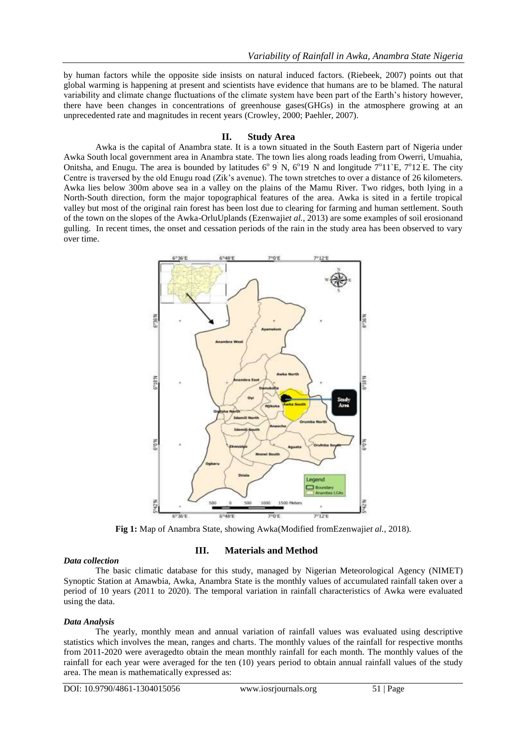by human factors while the opposite side insists on natural induced factors. (Riebeek, 2007) points out that global warming is happening at present and scientists have evidence that humans are to be blamed. The natural variability and climate change fluctuations of the climate system have been part of the Earth's history however, there have been changes in concentrations of greenhouse gases(GHGs) in the atmosphere growing at an unprecedented rate and magnitudes in recent years (Crowley, 2000; Paehler, 2007).

#### **II. Study Area**

Awka is the capital of Anambra state. It is a town situated in the South Eastern part of Nigeria under Awka South local government area in Anambra state. The town lies along roads leading from Owerri, Umuahia, Onitsha, and Enugu. The area is bounded by latitudes  $6^{\circ}$  9 N,  $6^{\circ}$ 19 N and longitude  $7^{\circ}$ 11 E,  $7^{\circ}$ 12 E. The city Centre is traversed by the old Enugu road (Zik's avenue). The town stretches to over a distance of 26 kilometers. Awka lies below 300m above sea in a valley on the plains of the Mamu River. Two ridges, both lying in a North-South direction, form the major topographical features of the area. Awka is sited in a fertile tropical valley but most of the original rain forest has been lost due to clearing for farming and human settlement. South of the town on the slopes of the Awka-OrluUplands (Ezenwaji*et al.,* 2013) are some examples of soil erosionand gulling. In recent times, the onset and cessation periods of the rain in the study area has been observed to vary over time.



**Fig 1:** Map of Anambra State, showing Awka(Modified fromEzenwaji*et al.,* 2018).

#### *Data collection*

## **III. Materials and Method**

The basic climatic database for this study, managed by Nigerian Meteorological Agency (NIMET) Synoptic Station at Amawbia, Awka, Anambra State is the monthly values of accumulated rainfall taken over a period of 10 years (2011 to 2020). The temporal variation in rainfall characteristics of Awka were evaluated using the data.

#### *Data Analysis*

The yearly, monthly mean and annual variation of rainfall values was evaluated using descriptive statistics which involves the mean, ranges and charts. The monthly values of the rainfall for respective months from 2011-2020 were averagedto obtain the mean monthly rainfall for each month. The monthly values of the rainfall for each year were averaged for the ten (10) years period to obtain annual rainfall values of the study area. The mean is mathematically expressed as: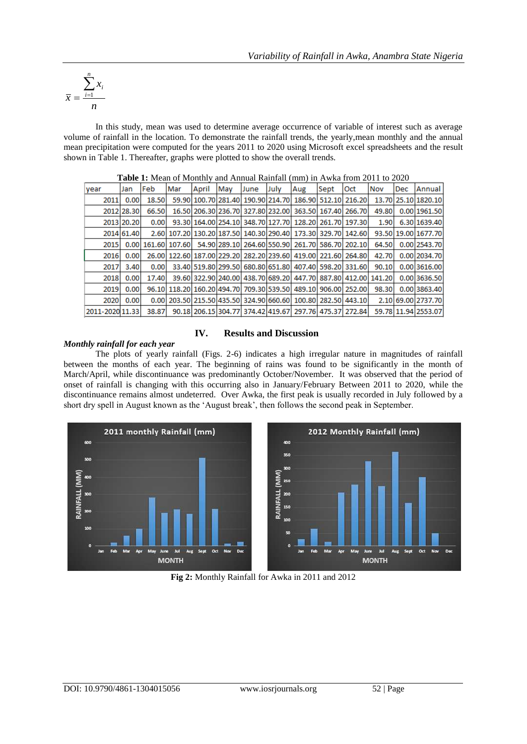$$
\bar{x} = \frac{\sum_{i=1}^{n} x_i}{n}
$$

In this study, mean was used to determine average occurrence of variable of interest such as average volume of rainfall in the location. To demonstrate the rainfall trends, the yearly,mean monthly and the annual mean precipitation were computed for the years 2011 to 2020 using Microsoft excel spreadsheets and the result shown in Table 1. Thereafter, graphs were plotted to show the overall trends.

|                 |            |       |     | <b>Table 1.</b> Mcall of Molitin's and Milliam Kannah (1999) in Tywka Holli 2011 to 2020 |     |      |      |                                                                    |      |     |       |     |                                                                            |
|-----------------|------------|-------|-----|------------------------------------------------------------------------------------------|-----|------|------|--------------------------------------------------------------------|------|-----|-------|-----|----------------------------------------------------------------------------|
| year            | Jan        | Feb   | Mar | April                                                                                    | May | June | July | Aug                                                                | Sept | Oct | Nov   | Dec | Annual                                                                     |
| 2011            | 0.00       | 18.50 |     |                                                                                          |     |      |      |                                                                    |      |     |       |     | 59.90 100.70 281.40 190.90 214.70 186.90 512.10 216.20 13.70 25.10 1820.10 |
|                 | 2012 28.30 | 66.50 |     |                                                                                          |     |      |      | 16.50 206.30 236.70 327.80 232.00 363.50 167.40 266.70             |      |     | 49.80 |     | 0.00 1961.50                                                               |
|                 | 2013 20.20 | 0.00  |     |                                                                                          |     |      |      | 93.30 164.00 254.10 348.70 127.70 128.20 261.70 197.30             |      |     | 1.90  |     | 6.30 1639.40                                                               |
|                 | 2014 61.40 |       |     |                                                                                          |     |      |      | 2.60 107.20 130.20 187.50 140.30 290.40 173.30 329.70 142.60       |      |     |       |     | 93.50 19.00 1677.70                                                        |
| 2015            |            |       |     |                                                                                          |     |      |      | 0.00 161.60 107.60 54.90 289.10 264.60 550.90 261.70 586.70 202.10 |      |     |       |     | 64.50 0.00 2543.70                                                         |
| 2016            | 0.00       |       |     |                                                                                          |     |      |      | 26.00 122.60 187.00 229.20 282.20 239.60 419.00 221.60 264.80      |      |     | 42.70 |     | 0.00 2034.70                                                               |
| 2017            | 3.40       | 0.00  |     |                                                                                          |     |      |      | 33.40 519.80 299.50 680.80 651.80 407.40 598.20 331.60             |      |     | 90.10 |     | 0.00 3616.00                                                               |
| 2018            | 0.00       | 17.40 |     |                                                                                          |     |      |      | 39.60 322.90 240.00 438.70 689.20 447.70 887.80 412.00 141.20      |      |     |       |     | 0.00 3636.50                                                               |
| 2019            | 0.00       |       |     |                                                                                          |     |      |      | 96.10 118.20 160.20 494.70 709.30 539.50 489.10 906.00 252.00      |      |     | 98.30 |     | 0.00 3863.40                                                               |
| 2020            | 0.00       |       |     |                                                                                          |     |      |      | 0.00 203.50 215.50 435.50 324.90 660.60 100.80 282.50 443.10       |      |     |       |     | 2.10 69.00 2737.70                                                         |
| 2011-2020 11.33 |            | 38.87 |     |                                                                                          |     |      |      | 90.18 206.15 304.77 374.42 419.67 297.76 475.37 272.84             |      |     |       |     | 59.78 11.94 2553.07                                                        |

**Table 1:** Mean of Monthly and Annual Rainfall (mm) in Awka from 2011 to 2020

# **IV. Results and Discussion**

#### *Monthly rainfall for each year*

The plots of yearly rainfall (Figs. 2-6) indicates a high irregular nature in magnitudes of rainfall between the months of each year. The beginning of rains was found to be significantly in the month of March/April, while discontinuance was predominantly October/November. It was observed that the period of onset of rainfall is changing with this occurring also in January/February Between 2011 to 2020, while the discontinuance remains almost undeterred. Over Awka, the first peak is usually recorded in July followed by a short dry spell in August known as the 'August break', then follows the second peak in September.



**Fig 2:** Monthly Rainfall for Awka in 2011 and 2012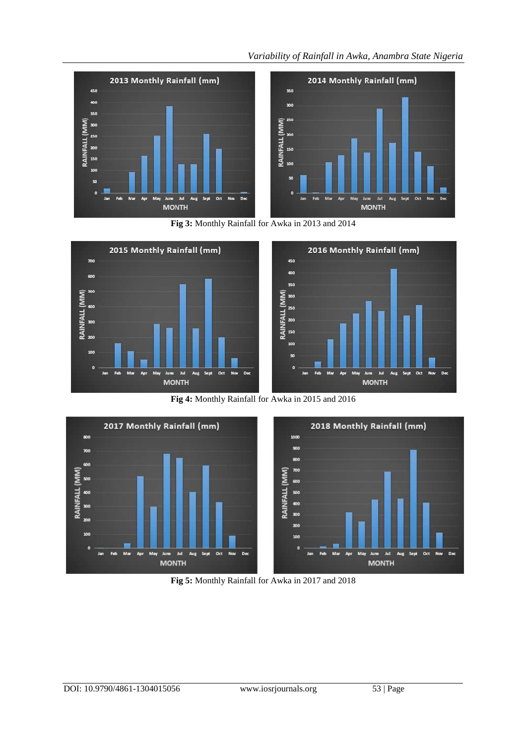# *Variability of Rainfall in Awka, Anambra State Nigeria*



**Fig 3:** Monthly Rainfall for Awka in 2013 and 2014



**Fig 4:** Monthly Rainfall for Awka in 2015 and 2016



**Fig 5:** Monthly Rainfall for Awka in 2017 and 2018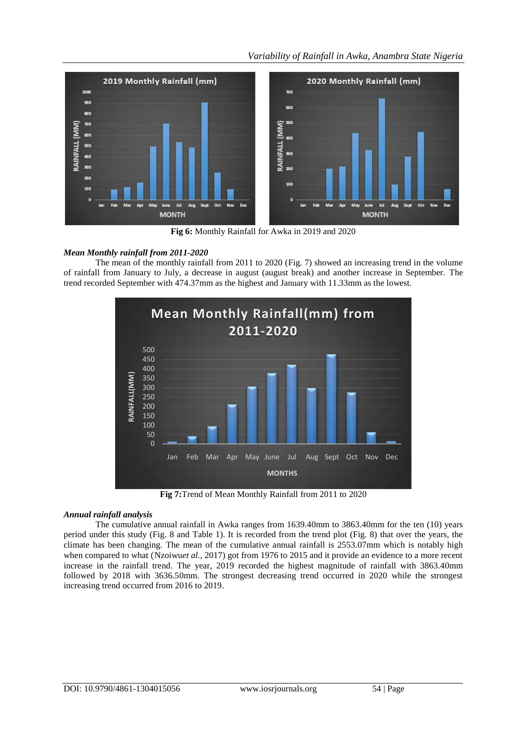# *Variability of Rainfall in Awka, Anambra State Nigeria*



**Fig 6:** Monthly Rainfall for Awka in 2019 and 2020

# *Mean Monthly rainfall from 2011-2020*

The mean of the monthly rainfall from 2011 to 2020 (Fig. 7) showed an increasing trend in the volume of rainfall from January to July, a decrease in august (august break) and another increase in September. The trend recorded September with 474.37mm as the highest and January with 11.33mm as the lowest.



**Fig 7:**Trend of Mean Monthly Rainfall from 2011 to 2020

## *Annual rainfall analysis*

The cumulative annual rainfall in Awka ranges from 1639.40mm to 3863.40mm for the ten (10) years period under this study (Fig. 8 and Table 1). It is recorded from the trend plot (Fig. 8) that over the years, the climate has been changing. The mean of the cumulative annual rainfall is 2553.07mm which is notably high when compared to what (Nzoiwu*et al.,* 2017) got from 1976 to 2015 and it provide an evidence to a more recent increase in the rainfall trend. The year, 2019 recorded the highest magnitude of rainfall with 3863.40mm followed by 2018 with 3636.50mm. The strongest decreasing trend occurred in 2020 while the strongest increasing trend occurred from 2016 to 2019.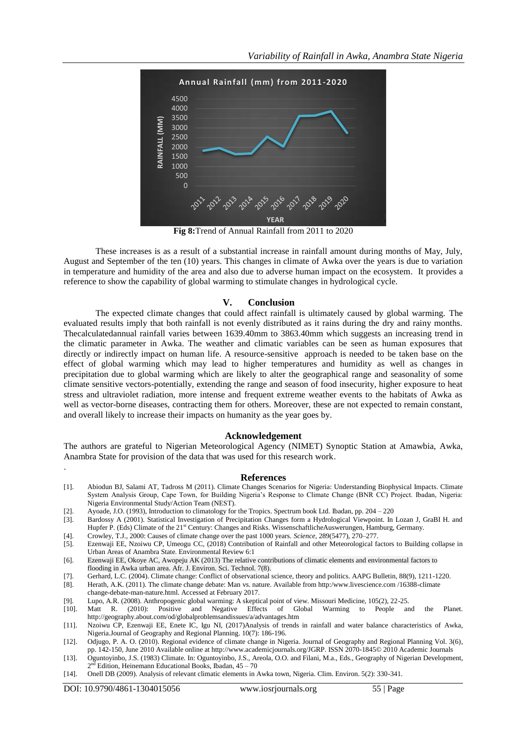

**Fig 8:**Trend of Annual Rainfall from 2011 to 2020

These increases is as a result of a substantial increase in rainfall amount during months of May, July, August and September of the ten (10) years. This changes in climate of Awka over the years is due to variation in temperature and humidity of the area and also due to adverse human impact on the ecosystem. It provides a reference to show the capability of global warming to stimulate changes in hydrological cycle.

#### **V. Conclusion**

The expected climate changes that could affect rainfall is ultimately caused by global warming. The evaluated results imply that both rainfall is not evenly distributed as it rains during the dry and rainy months. Thecalculatedannual rainfall varies between 1639.40mm to 3863.40mm which suggests an increasing trend in the climatic parameter in Awka. The weather and climatic variables can be seen as human exposures that directly or indirectly impact on human life. A resource-sensitive approach is needed to be taken base on the effect of global warming which may lead to higher temperatures and humidity as well as changes in precipitation due to global warming which are likely to alter the geographical range and seasonality of some climate sensitive vectors-potentially, extending the range and season of food insecurity, higher exposure to heat stress and ultraviolet radiation, more intense and frequent extreme weather events to the habitats of Awka as well as vector-borne diseases, contracting them for others. Moreover, these are not expected to remain constant, and overall likely to increase their impacts on humanity as the year goes by.

#### **Acknowledgement**

The authors are grateful to Nigerian Meteorological Agency (NIMET) Synoptic Station at Amawbia, Awka, Anambra State for provision of the data that was used for this research work.

#### **References**

- [1]. Abiodun BJ, Salami AT, Tadross M (2011). Climate Changes Scenarios for Nigeria: Understanding Biophysical Impacts. Climate System Analysis Group, Cape Town, for Building Nigeria's Response to Climate Change (BNR CC) Project. Ibadan, Nigeria: Nigeria Environmental Study/Action Team (NEST).
- [2]. Ayoade, J.O. (1993), Introduction to climatology for the Tropics. Spectrum book Ltd. Ibadan, pp. 204 220
- [3]. Bardossy A (2001). Statistical Investigation of Precipitation Changes form a Hydrological Viewpoint. In Lozan J, GraBI H. and Hupfer P. (Eds) Climate of the 21<sup>st</sup> Century: Changes and Risks. WissenschaftlicheAuswerungen, Hamburg, Germany.
- [4]. Crowley, T.J., 2000: Causes of climate change over the past 1000 years. *Science*, 289(5477), 270–277.
- [5]. Ezenwaji EE, Nzoiwu CP, Umeogu CC, (2018) Contribution of Rainfall and other Meteorological factors to Building collapse in Urban Areas of Anambra State. Environmental Review 6:1
- [6]. Ezenwaji EE, Okoye AC, Awopeju AK (2013) The relative contributions of climatic elements and environmental factors to flooding in Awka urban area. Afr. J. Environ. Sci. Technol. 7(8).
- [7]. Gerhard, L.C. (2004). Climate change: Conflict of observational science, theory and politics. AAPG Bulletin, 88(9), 1211-1220.
- [8]. Herath, A.K. (2011). The climate change debate: Man vs. nature. Available from http:/www.livescience.com /16388-climate change-debate-man-nature.html. Accessed at February 2017.
- [9]. Lupo, A.R. (2008). Anthropogenic global warming: A skeptical point of view. Missouri Medicine, 105(2), 22-25.
- [10]. Matt R. (2010): Positive and Negative Effects of Global Warming to People and the Planet. http://geography.about.com/od/globalproblemsandissues/a/advantages.htm
- [11]. Nzoiwu CP, Ezenwaji EE, Enete IC, Igu NI, (2017)Analysis of trends in rainfall and water balance characteristics of Awka, Nigeria.Journal of Geography and Regional Planning. 10(7): 186-196.
- [12]. Odjugo, P. A. O. (2010). Regional evidence of climate change in Nigeria. Journal of Geography and Regional Planning Vol. 3(6), pp. 142-150, June 2010 Available online at http://www.academicjournals.org/JGRP. ISSN 2070-1845© 2010 Academic Journals
- [13]. Oguntoyinbo, J.S. (1983) Climate. In: Oguntoyinbo, J.S., Areola, O.O. and Filani, M.a., Eds., Geography of Nigerian Development,  $2<sup>nd</sup>$  Edition, Heinemann Educational Books, Ibadan,  $45 - 70$
- [14]. Onell DB (2009). Analysis of relevant climatic elements in Awka town, Nigeria. Clim. Environ. 5(2): 330-341.

.